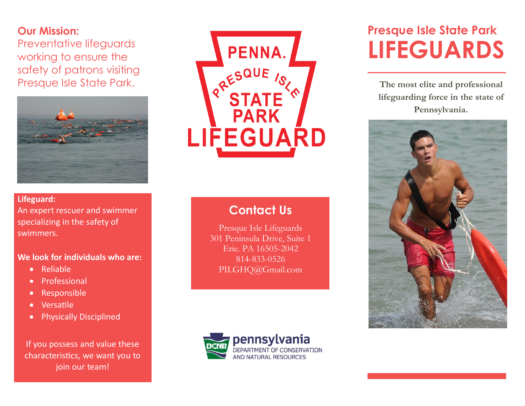### **Our Mission:**

Preventative lifeguards working to ensure the safety of patrons visiting Presque Isle State Park.



### **Lifeguard:**  An expert rescuer and swimmer specializing in the safety of swimmers.

### **We look for individuals who are:**

- Reliable
- **•** Professional
- Responsible
- Versatile
- **•** Physically Disciplined

If you possess and value these characteristics, we want you to join our team!



# **Contact Us**

Presque Isle Lifeguards 301 Peninsula Drive, Suite 1 Erie. PA 16505-2042 814-833-0526 PILGHQ@Gmail.com



# **Presque Isle State Park LIFEGUARDS**

**The most elite and professional lifeguarding force in the state of Pennsylvania.**